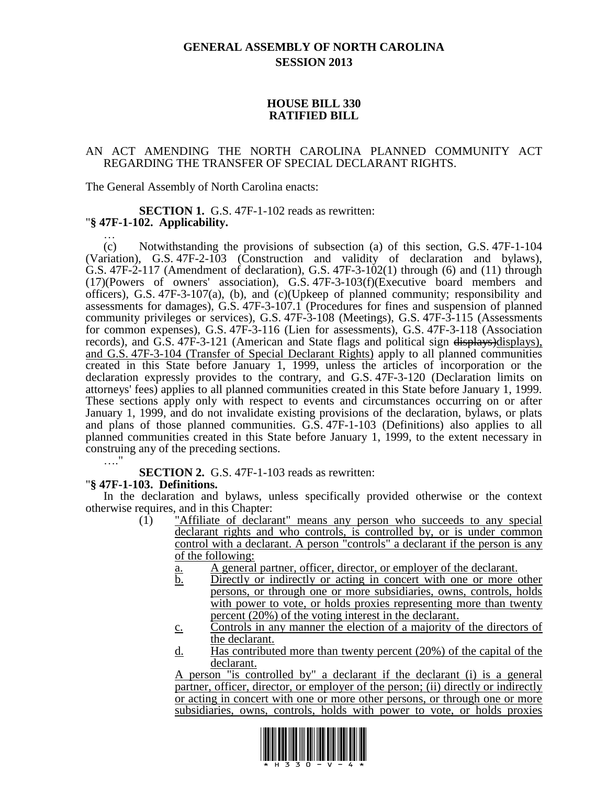## **GENERAL ASSEMBLY OF NORTH CAROLINA SESSION 2013**

## **HOUSE BILL 330 RATIFIED BILL**

## AN ACT AMENDING THE NORTH CAROLINA PLANNED COMMUNITY ACT REGARDING THE TRANSFER OF SPECIAL DECLARANT RIGHTS.

The General Assembly of North Carolina enacts:

#### **SECTION 1.** G.S. 47F-1-102 reads as rewritten: "**§ 47F-1-102. Applicability.** …

(c) Notwithstanding the provisions of subsection (a) of this section, G.S. 47F-1-104 (Variation), G.S. 47F-2-103 (Construction and validity of declaration and bylaws), G.S. 47F-2-117 (Amendment of declaration), G.S. 47F-3-102(1) through (6) and (11) through (17)(Powers of owners' association), G.S. 47F-3-103(f)(Executive board members and officers), G.S. 47F-3-107(a), (b), and (c)(Upkeep of planned community; responsibility and assessments for damages), G.S. 47F-3-107.1 (Procedures for fines and suspension of planned community privileges or services), G.S. 47F-3-108 (Meetings), G.S. 47F-3-115 (Assessments for common expenses), G.S. 47F-3-116 (Lien for assessments), G.S. 47F-3-118 (Association records), and G.S. 47F-3-121 (American and State flags and political sign  $\frac{displays\rho}{}display$ displays), and G.S. 47F-3-104 (Transfer of Special Declarant Rights) apply to all planned communities created in this State before January 1, 1999, unless the articles of incorporation or the declaration expressly provides to the contrary, and G.S. 47F-3-120 (Declaration limits on attorneys' fees) applies to all planned communities created in this State before January 1, 1999. These sections apply only with respect to events and circumstances occurring on or after January 1, 1999, and do not invalidate existing provisions of the declaration, bylaws, or plats and plans of those planned communities. G.S. 47F-1-103 (Definitions) also applies to all planned communities created in this State before January 1, 1999, to the extent necessary in construing any of the preceding sections. …"

**SECTION 2.** G.S. 47F-1-103 reads as rewritten:

## "**§ 47F-1-103. Definitions.**

In the declaration and bylaws, unless specifically provided otherwise or the context otherwise requires, and in this Chapter:

- (1) "Affiliate of declarant" means any person who succeeds to any special declarant rights and who controls, is controlled by, or is under common control with a declarant. A person "controls" a declarant if the person is any of the following:
	- a. A general partner, officer, director, or employer of the declarant.
	- b. Directly or indirectly or acting in concert with one or more other persons, or through one or more subsidiaries, owns, controls, holds with power to vote, or holds proxies representing more than twenty percent (20%) of the voting interest in the declarant.
	- c. Controls in any manner the election of a majority of the directors of the declarant.
	- d. Has contributed more than twenty percent (20%) of the capital of the declarant.

A person "is controlled by" a declarant if the declarant (i) is a general partner, officer, director, or employer of the person; (ii) directly or indirectly or acting in concert with one or more other persons, or through one or more subsidiaries, owns, controls, holds with power to vote, or holds proxies

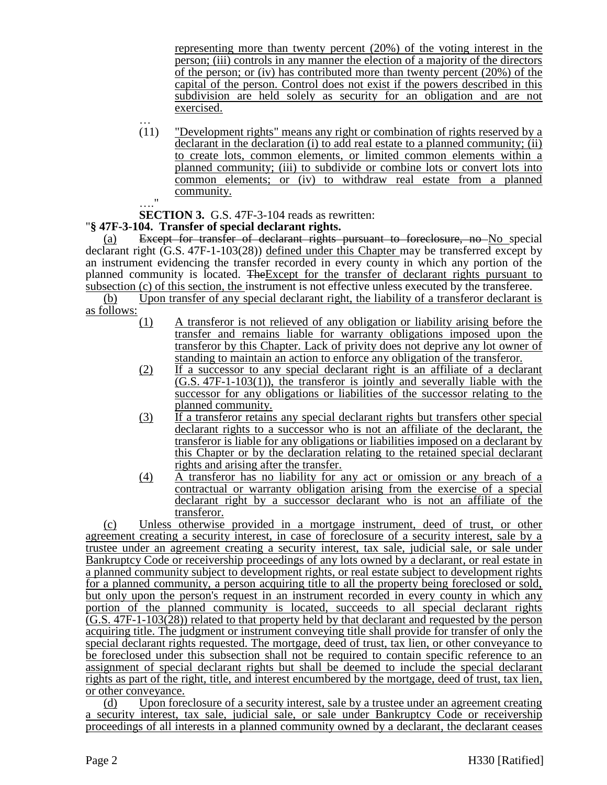representing more than twenty percent (20%) of the voting interest in the person; (iii) controls in any manner the election of a majority of the directors of the person; or (iv) has contributed more than twenty percent (20%) of the capital of the person. Control does not exist if the powers described in this subdivision are held solely as security for an obligation and are not exercised.

… (11) "Development rights" means any right or combination of rights reserved by a declarant in the declaration (i) to add real estate to a planned community; (ii) to create lots, common elements, or limited common elements within a planned community; (iii) to subdivide or combine lots or convert lots into common elements; or (iv) to withdraw real estate from a planned community.  $\ddot{ }$ 

**SECTION 3.** G.S. 47F-3-104 reads as rewritten:

# "**§ 47F-3-104. Transfer of special declarant rights.**

(a) Except for transfer of declarant rights pursuant to foreclosure, no No special declarant right (G.S. 47F-1-103(28)) defined under this Chapter may be transferred except by an instrument evidencing the transfer recorded in every county in which any portion of the planned community is located. TheExcept for the transfer of declarant rights pursuant to subsection (c) of this section, the instrument is not effective unless executed by the transferee.

(b) Upon transfer of any special declarant right, the liability of a transferor declarant is as follows:

- (1) A transferor is not relieved of any obligation or liability arising before the transfer and remains liable for warranty obligations imposed upon the transferor by this Chapter. Lack of privity does not deprive any lot owner of standing to maintain an action to enforce any obligation of the transferor.
- (2) If a successor to any special declarant right is an affiliate of a declarant (G.S. 47F-1-103(1)), the transferor is jointly and severally liable with the successor for any obligations or liabilities of the successor relating to the planned community.
- (3) If a transferor retains any special declarant rights but transfers other special declarant rights to a successor who is not an affiliate of the declarant, the transferor is liable for any obligations or liabilities imposed on a declarant by this Chapter or by the declaration relating to the retained special declarant rights and arising after the transfer.
- (4) A transferor has no liability for any act or omission or any breach of a contractual or warranty obligation arising from the exercise of a special declarant right by a successor declarant who is not an affiliate of the transferor.

(c) Unless otherwise provided in a mortgage instrument, deed of trust, or other agreement creating a security interest, in case of foreclosure of a security interest, sale by a trustee under an agreement creating a security interest, tax sale, judicial sale, or sale under Bankruptcy Code or receivership proceedings of any lots owned by a declarant, or real estate in a planned community subject to development rights, or real estate subject to development rights for a planned community, a person acquiring title to all the property being foreclosed or sold, but only upon the person's request in an instrument recorded in every county in which any portion of the planned community is located, succeeds to all special declarant rights (G.S. 47F-1-103(28)) related to that property held by that declarant and requested by the person acquiring title. The judgment or instrument conveying title shall provide for transfer of only the special declarant rights requested. The mortgage, deed of trust, tax lien, or other conveyance to be foreclosed under this subsection shall not be required to contain specific reference to an assignment of special declarant rights but shall be deemed to include the special declarant rights as part of the right, title, and interest encumbered by the mortgage, deed of trust, tax lien, or other conveyance.

(d) Upon foreclosure of a security interest, sale by a trustee under an agreement creating a security interest, tax sale, judicial sale, or sale under Bankruptcy Code or receivership proceedings of all interests in a planned community owned by a declarant, the declarant ceases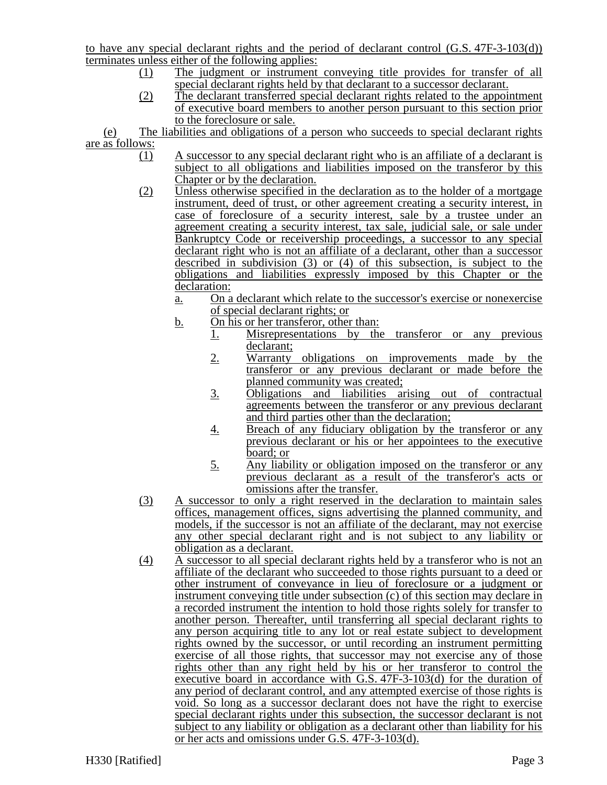to have any special declarant rights and the period of declarant control (G.S. 47F-3-103(d)) terminates unless either of the following applies:

- (1) The judgment or instrument conveying title provides for transfer of all special declarant rights held by that declarant to a successor declarant.
- (2) The declarant transferred special declarant rights related to the appointment of executive board members to another person pursuant to this section prior to the foreclosure or sale.

(e) The liabilities and obligations of a person who succeeds to special declarant rights are as follows:

- (1) A successor to any special declarant right who is an affiliate of a declarant is subject to all obligations and liabilities imposed on the transferor by this Chapter or by the declaration.
- (2) Unless otherwise specified in the declaration as to the holder of a mortgage instrument, deed of trust, or other agreement creating a security interest, in case of foreclosure of a security interest, sale by a trustee under an agreement creating a security interest, tax sale, judicial sale, or sale under Bankruptcy Code or receivership proceedings, a successor to any special declarant right who is not an affiliate of a declarant, other than a successor described in subdivision (3) or (4) of this subsection, is subject to the obligations and liabilities expressly imposed by this Chapter or the declaration:
	- a. On a declarant which relate to the successor's exercise or nonexercise of special declarant rights; or
	- b. On his or her transferor, other than:
		- 1. Misrepresentations by the transferor or any previous declarant;
			- 2. Warranty obligations on improvements made by the transferor or any previous declarant or made before the planned community was created;
			- 3. Obligations and liabilities arising out of contractual agreements between the transferor or any previous declarant and third parties other than the declaration;
			- 4. Breach of any fiduciary obligation by the transferor or any previous declarant or his or her appointees to the executive board; or
			- 5. Any liability or obligation imposed on the transferor or any previous declarant as a result of the transferor's acts or omissions after the transfer.
- (3) A successor to only a right reserved in the declaration to maintain sales offices, management offices, signs advertising the planned community, and models, if the successor is not an affiliate of the declarant, may not exercise any other special declarant right and is not subject to any liability or obligation as a declarant.
- (4) A successor to all special declarant rights held by a transferor who is not an affiliate of the declarant who succeeded to those rights pursuant to a deed or other instrument of conveyance in lieu of foreclosure or a judgment or instrument conveying title under subsection (c) of this section may declare in a recorded instrument the intention to hold those rights solely for transfer to another person. Thereafter, until transferring all special declarant rights to any person acquiring title to any lot or real estate subject to development rights owned by the successor, or until recording an instrument permitting exercise of all those rights, that successor may not exercise any of those rights other than any right held by his or her transferor to control the executive board in accordance with G.S. 47F-3-103(d) for the duration of any period of declarant control, and any attempted exercise of those rights is void. So long as a successor declarant does not have the right to exercise special declarant rights under this subsection, the successor declarant is not subject to any liability or obligation as a declarant other than liability for his or her acts and omissions under G.S. 47F-3-103(d).